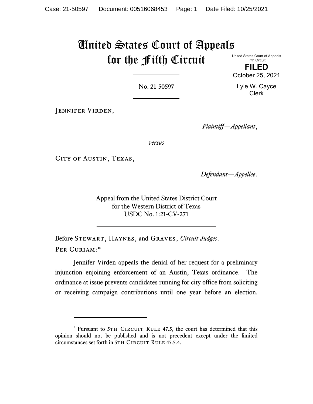# United States Court of Appeals for the Fifth Circuit

United States Court of Appeals Fifth Circuit **FILED**

October 25, 2021

Lyle W. Cayce Clerk

No. 21-50597

JENNIFER VIRDEN,

*Plaintiff—Appellant*,

*versus*

CITY OF AUSTIN, TEXAS,

*Defendant—Appellee*.

Appeal from the United States District Court for the Western District of Texas USDC No. 1:21-CV-271

Before Stewart, Haynes, and Graves, *Circuit Judges*. PER CURIAM:[\\*](#page-0-0)

Jennifer Virden appeals the denial of her request for a preliminary injunction enjoining enforcement of an Austin, Texas ordinance. The ordinance at issue prevents candidates running for city office from soliciting or receiving campaign contributions until one year before an election.

<span id="page-0-0"></span><sup>\*</sup> Pursuant to 5TH CIRCUIT RULE 47.5, the court has determined that this opinion should not be published and is not precedent except under the limited circumstances set forth in 5TH CIRCUIT RULE 47.5.4.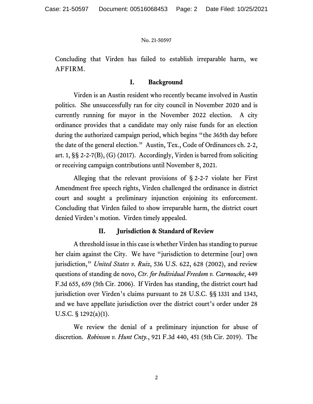Concluding that Virden has failed to establish irreparable harm, we AFFIRM.

## **I. Background**

Virden is an Austin resident who recently became involved in Austin politics. She unsuccessfully ran for city council in November 2020 and is currently running for mayor in the November 2022 election. A city ordinance provides that a candidate may only raise funds for an election during the authorized campaign period, which begins "the 365th day before the date of the general election." Austin, Tex., Code of Ordinances ch. 2-2, art. 1, §§ 2-2-7(B), (G) (2017). Accordingly, Virden is barred from soliciting or receiving campaign contributions until November 8, 2021.

Alleging that the relevant provisions of § 2-2-7 violate her First Amendment free speech rights, Virden challenged the ordinance in district court and sought a preliminary injunction enjoining its enforcement. Concluding that Virden failed to show irreparable harm, the district court denied Virden's motion. Virden timely appealed.

# **II. Jurisdiction & Standard of Review**

A threshold issue in this case is whether Virden has standing to pursue her claim against the City. We have "jurisdiction to determine [our] own jurisdiction," *United States v. Ruiz*, 536 U.S. 622, 628 (2002), and review questions of standing de novo, *Ctr. for Individual Freedom v. Carmouche*, 449 F.3d 655, 659 (5th Cir. 2006). If Virden has standing, the district court had jurisdiction over Virden's claims pursuant to 28 U.S.C. §§ 1331 and 1343, and we have appellate jurisdiction over the district court's order under 28 U.S.C. § 1292(a)(1).

We review the denial of a preliminary injunction for abuse of discretion. *Robinson v. Hunt Cnty.*, 921 F.3d 440, 451 (5th Cir. 2019). The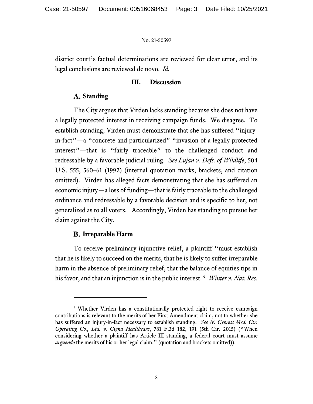district court's factual determinations are reviewed for clear error, and its legal conclusions are reviewed de novo. *Id.*

## **III. Discussion**

# **Standing**

The City argues that Virden lacks standing because she does not have a legally protected interest in receiving campaign funds. We disagree. To establish standing, Virden must demonstrate that she has suffered "injuryin-fact"—a "concrete and particularized" "invasion of a legally protected interest"—that is "fairly traceable" to the challenged conduct and redressable by a favorable judicial ruling. *See Lujan v. Defs. of Wildlife*, 504 U.S. 555, 560–61 (1992) (internal quotation marks, brackets, and citation omitted). Virden has alleged facts demonstrating that she has suffered an economic injury—a loss of funding—that is fairly traceable to the challenged ordinance and redressable by a favorable decision and is specific to her, not generalized as to all voters. [1](#page-2-0) Accordingly, Virden has standing to pursue her claim against the City.

# **B.** Irreparable Harm

To receive preliminary injunctive relief, a plaintiff "must establish that he is likely to succeed on the merits, that he is likely to suffer irreparable harm in the absence of preliminary relief, that the balance of equities tips in his favor, and that an injunction is in the public interest." *Winter v. Nat. Res.* 

<span id="page-2-0"></span><sup>&</sup>lt;sup>1</sup> Whether Virden has a constitutionally protected right to receive campaign contributions is relevant to the merits of her First Amendment claim, not to whether she has suffered an injury-in-fact necessary to establish standing. *See N. Cypress Med. Ctr. Operating Co., Ltd. v. Cigna Healthcare*, 781 F.3d 182, 191 (5th Cir. 2015) ("When considering whether a plaintiff has Article III standing, a federal court must assume *arguendo* the merits of his or her legal claim." (quotation and brackets omitted)).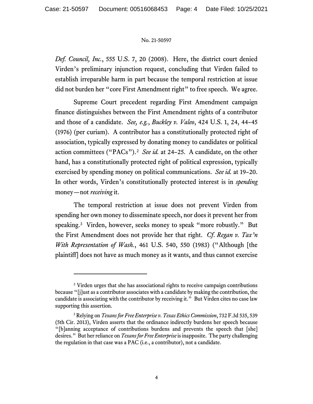*Def. Council, Inc.*, 555 U.S. 7, 20 (2008). Here, the district court denied Virden's preliminary injunction request, concluding that Virden failed to establish irreparable harm in part because the temporal restriction at issue did not burden her "core First Amendment right" to free speech. We agree.

Supreme Court precedent regarding First Amendment campaign finance distinguishes between the First Amendment rights of a contributor and those of a candidate. *See, e.g.*, *Buckley v. Valeo*, 424 U.S. 1, 24, 44–45 (1976) (per curiam). A contributor has a constitutionally protected right of association, typically expressed by donating money to candidates or political action committees ("PACs").[2](#page-3-0) *See id.* at 24–25. A candidate, on the other hand, has a constitutionally protected right of political expression, typically exercised by spending money on political communications. *See id.* at 19–20. In other words, Virden's constitutionally protected interest is in *spending* money—not *receiving* it.

The temporal restriction at issue does not prevent Virden from spending her own money to disseminate speech, nor does it prevent her from speaking.[3](#page-3-1) Virden, however, seeks money to speak "more robustly." But the First Amendment does not provide her that right. *Cf*. *Regan v. Tax'n With Representation of Wash.*, 461 U.S. 540, 550 (1983) ("Although [the plaintiff] does not have as much money as it wants, and thus cannot exercise

<span id="page-3-0"></span><sup>&</sup>lt;sup>2</sup> Virden urges that she has associational rights to receive campaign contributions because "[j]ust as a contributor associates with a candidate by making the contribution, the candidate is associating with the contributor by receiving it." But Virden cites no case law supporting this assertion.

<span id="page-3-1"></span><sup>3</sup> Relying on *Texans for Free Enterprise v. Texas Ethics Commission*, 732 F.3d 535, 539 (5th Cir. 2013), Virden asserts that the ordinance indirectly burdens her speech because "[b]anning acceptance of contributions burdens and prevents the speech that [she] desires." But her reliance on *Texans for Free Enterprise*is inapposite. The party challenging the regulation in that case was a PAC (i.e., a contributor), not a candidate.